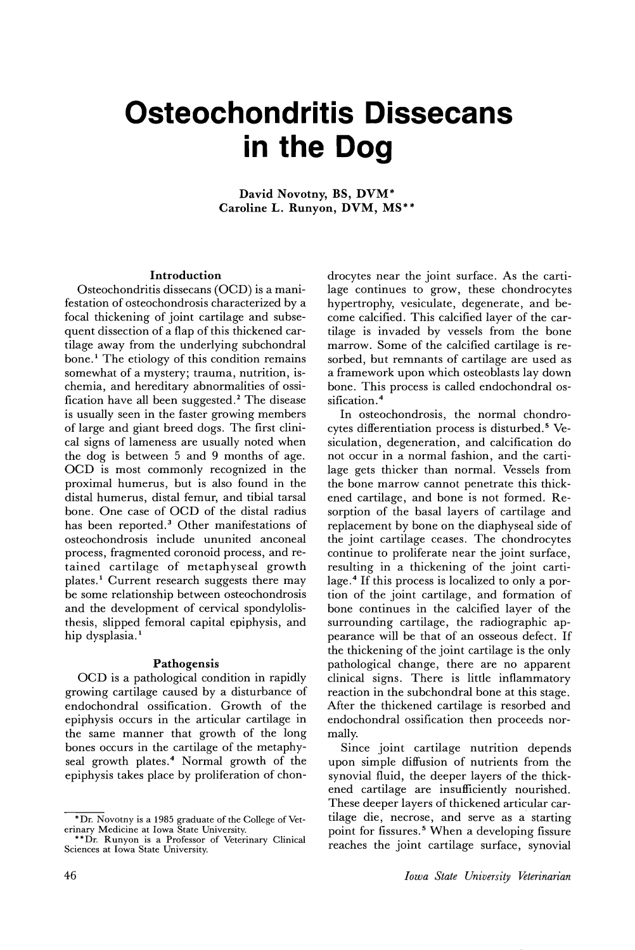# **Osteochondritis Dissecans in the Dog**

David Novotny, BS, DVM\* Caroline L. Runyon, DVM, MS\*\*

## Introduction

Osteochondritis dissecans (OCD) is a manifestation of osteochondrosis characterized by a focal thickening of joint cartilage and subsequent dissection of a flap of this thickened cartilage away from the underlying subchondral bone.<sup>1</sup> The etiology of this condition remains somewhat of a mystery; trauma, nutrition, ischemia, and hereditary abnormalities of ossification have all been suggested. <sup>2</sup> The disease is usually seen in the faster growing members of large and giant breed dogs. The first clinical signs of lameness are usually noted when the dog is between 5 and 9 months of age. OCD is most commonly recognized in the proximal humerus, but is also found in the distal humerus, distal femur, and tibial tarsal bone. One case of OCD of the distal radius has been reported.<sup>3</sup> Other manifestations of osteochondrosis include ununited anconeal process, fragmented coronoid process, and retained cartilage of metaphyseal growth plates. <sup>1</sup> Current research suggests there may be some relationship between osteochondrosis and the development of cervical spondylolisthesis, slipped femoral capital epiphysis, and hip dysplasia.<sup>1</sup>

#### Pathogensis

OCD is a pathological condition in rapidly growing cartilage caused by a disturbance of endochondral ossification. Growth of the epiphysis occurs in the articular cartilage in the same manner that growth of the long bones occurs in the cartilage of the metaphyseal growth plates.<sup>4</sup> Normal growth of the epiphysis takes place by proliferation of chon-

drocytes near the joint surface. As the cartilage continues to grow, these chondrocytes hypertrophy, vesiculate, degenerate, and become calcified. This calcified layer of the cartilage is invaded by vessels from the bone marrow. Some of the calcified cartilage is resorbed, but remnants of cartilage are used as a framework upon which osteoblasts lay down bone. This process is called endochondral ossification. <sup>4</sup>

In osteochondrosis, the normal chondrocytes differentiation process is disturbed. <sup>5</sup> Vesiculation, degeneration, and calcification do not occur in a normal fashion, and the cartilage gets thicker than normal. Vessels from the bone marrow cannot penetrate this thickened cartilage, and bone is not formed. Resorption of the basal layers of cartilage and replacement by bone on the diaphyseal side of the joint cartilage ceases. The chondrocytes continue to proliferate near the joint surface, resulting in a thickening of the joint cartilage. <sup>4</sup> If this process is localized to only a portion of the joint cartilage, and formation of bone continues in the calcified layer of the surrounding cartilage, the radiographic appearance will be that of an osseous defect. If the thickening of the joint cartilage is the only pathological change, there are no apparent clinical signs. There is little inflammatory reaction in the subchondral bone at this stage. After the thickened cartilage is resorbed and endochondral ossification then proceeds normally.

Since joint cartilage nutrition depends upon simple diffusion of nutrients from the synovial fluid, the deeper layers of the thickened cartilage are insufficiently nourished. These deeper layers of thickened articular cartilage die, necrose, and serve as a' starting point for fissures. <sup>5</sup> When a developing fissure reaches the joint cartilage surface, synovial

<sup>\*</sup>Dr. Novotny is a 1985 graduate of the College of Veterinary Medicine at Iowa State University.

<sup>\*\*</sup>Dr. Runyon is a Professor of Veterinary Clinical Sciences at Iowa State University.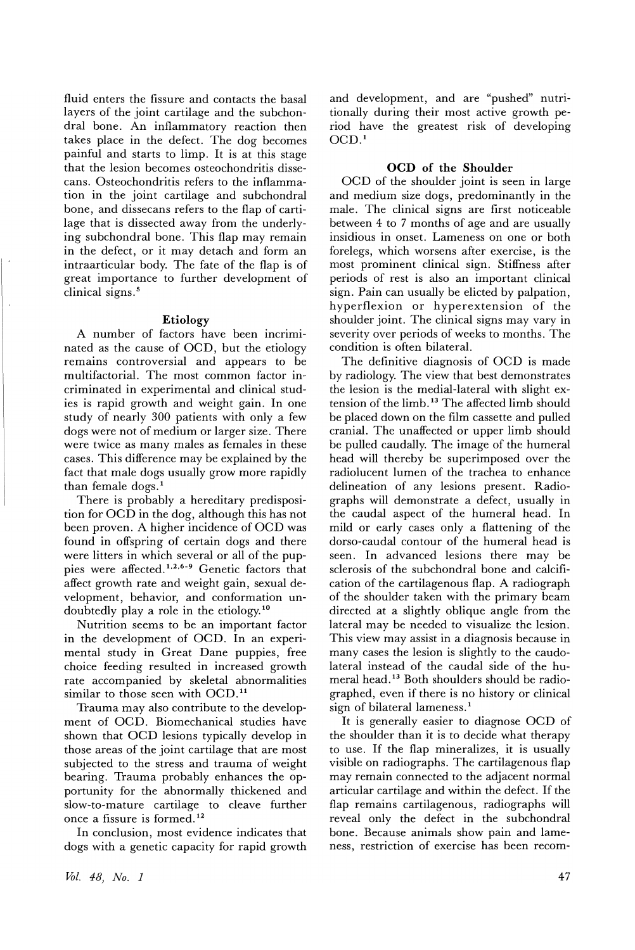fluid enters the fissure and contacts the basal layers of the joint cartilage and the subchondral bone. An inflammatory reaction then takes place in the defect. The dog becomes painful and starts to limp. It is at this stage that the lesion becomes osteochondritis dissecans. Osteochondritis refers to the inflammation in the joint cartilage and subchondral bone, and dissecans refers to the flap of cartilage that is dissected away from the underlying subchondral bone. This flap may remain in the defect, or it may detach and form an intraarticular body. The fate of the flap is of great importance to further development of clinical signs. <sup>5</sup>

## Etiology

A number of factors have been incriminated as the cause of OCD, but the etiology remains controversial and appears to be multifactorial. The most common factor incriminated in experimental and clinical studies is rapid growth and weight gain. In one study of nearly 300 patients with only a few dogs were not of medium or larger size. There were twice as many males as females in these cases. This difference may be explained by the fact that male dogs usually grow more rapidly than female dogs. 1

There is probably a hereditary predisposition for OCD in the dog, although this has not been proven. A higher incidence of OCD was found in offspring of certain dogs and there were litters in which several or all of the puppies were affected.<sup>1,2,6-9</sup> Genetic factors that affect growth rate and weight gain, sexual development, behavior, and conformation undoubtedly playa role in the etiology.10

Nutrition seems to be an important factor in the development of OCD. In an experimental study in Great Dane puppies, free choice feeding resulted in increased growth rate accompanied by skeletal abnormalities similar to those seen with OCD.<sup>11</sup>

Trauma may also contribute to the development of OCD. Biomechanical studies have shown that OCD lesions typically develop in those areas of the joint cartilage that are most subjected to the stress and trauma of weight bearing. Trauma probably enhances the opportunity for the abnormally thickened and slow-to-mature cartilage to cleave further once a fissure is formed. <sup>12</sup>

In conclusion, most evidence indicates that dogs with a genetic capacity for rapid growth and development, and are "pushed" nutritionally during their most active growth period have the greatest risk of developing  $OCD.<sup>1</sup>$ 

## OCD of the Shoulder

OCD of the shoulder joint is seen in large and medium size dogs, predominantly in the male. The clinical signs are first noticeable between 4 to 7 months of age and are usually insidious in onset. Lameness on one or both forelegs, which worsens after exercise, is the most prominent clinical sign. Stiffness after periods of rest is also an important clinical sign. Pain can usually be elicted by palpation, hyperflexion or hyperextension of the shoulder joint. The clinical signs may vary in severity over periods of weeks to months. The condition is often bilateral.

The definitive diagnosis of OCD is made by radiology. The view that best demonstrates the lesion is the medial-lateral with slight extension of the limb. <sup>13</sup> The affected limb should be placed down on the film cassette and pulled cranial. The unaffected or upper limb should be pulled caudally. The image of the humeral head will thereby be superimposed over the radiolucent lumen of the trachea to enhance delineation of any lesions present. Radiographs will demonstrate a defect, usually in the caudal aspect of the humeral head. In mild or early cases only a flattening of the dorso-caudal contour of the humeral head is seen. In advanced lesions there may be sclerosis of the subchondral bone and calcification of the cartilagenous flap. A radiograph of the shoulder taken with the primary beam directed at a slightly oblique angle from the lateral may be needed to visualize the lesion. This view may assist in a diagnosis because in many cases the lesion is slightly to the caudolateral instead of the caudal side of the humeral head. <sup>13</sup> Both shoulders should be radiographed, even if there is no history or clinical sign of bilateral lameness.<sup>1</sup>

It is generally easier to diagnose OCD of the shoulder than it is to decide what therapy to use. If the flap mineralizes, it is usually visible on radiographs. The cartilagenous flap may remain connected to the adjacent normal articular cartilage and within the defect. If the flap remains cartilagenous, radiographs will reveal only the defect in the subchondral bone. Because animals show pain and lameness, restriction of exercise has been recom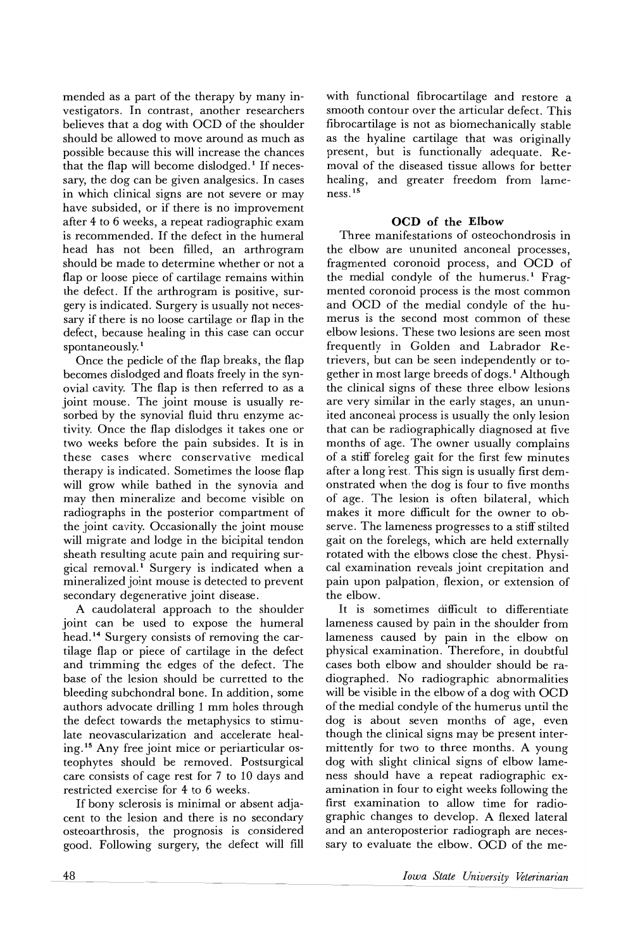mended as a part of the therapy by many investigators. In contrast, another researchers believes that a dog with OCD of the shoulder should be allowed to move around as much as possible because this will increase the chances that the flap will become dislodged.<sup>1</sup> If necessary, the dog can be given analgesics. In cases in which clinical signs are not severe or may have subsided, or if there is no improvement after 4 to 6 weeks, a repeat radiographic exam is recommended. If the defect in the humeral head has not been filled, an arthrogram should be made to determine whether or not a flap or loose piece of cartilage remains within the defect. If the arthrogram is positive, surgery is indicated. Surgery is usually not necessary if there is no loose cartilage or flap in the defect, because healing in this case can occur spontaneously.<sup>1</sup>

Once the pedicle of the flap breaks, the flap becomes dislodged and floats freely in the synovial cavity. The flap is then referred to as a joint mouse. The joint mouse is usually resorbed by the synovial fluid thru enzyme activity. Once the flap dislodges it takes one or two weeks before the pain subsides. It is in these cases where conservative medical therapy is indicated. Sometimes the loose flap will grow while bathed in the synovia and may then mineralize and become visible on radiographs in the posterior compartment of the joint cavity. Occasionally the joint mouse will migrate and lodge in the bicipital tendon sheath resulting acute pain and requiring surgical removal.<sup>1</sup> Surgery is indicated when a mineralized joint mouse is detected to prevent secondary degenerative joint disease.

A caudolateral approach to the shoulder joint can be used to expose the humeral head. <sup>14</sup> Surgery consists of removing the cartilage flap or piece of cartilage in the defect and trimming the edges of the defect. The base of the lesion should be curretted to the bleeding subchondral bone. In addition, some authors advocate drilling 1 mm holes through the defect towards the metaphysics to stimulate neovascularization and accelerate healing. <sup>15</sup> Any free joint mice or periarticular osteophytes should be removed. Postsurgical care consists of cage rest for 7 to 10 days and restricted exercise for 4 to 6 weeks.

If bony sclerosis is minimal or absent adjacent to the lesion and there is no secondary osteoarthrosis, the prognosis is considered good. Following surgery, the defect will fill

with functional fibrocartilage and restore a smooth contour over the articular defect. This fibrocartilage is not as biomechanically stable as the hyaline cartilage that was originally present, but is functionally adequate. Removal of the diseased tissue allows for better healing, and greater freedom from lameness. <sup>15</sup>

## OCD of the Elbow

Three manifestations of osteochondrosis in the elbow are ununited anconeal processes, fragmented coronoid process, and OCD of the medial condyle of the humerus.<sup>1</sup> Fragmented coronoid process is the most common and OCD of the medial condyle of the humerus is the second most common of these elbow lesions. These two lesions are seen most frequently in Golden and Labrador Retrievers, but can be seen independently or together in most large breeds of dogs.<sup>1</sup> Although the clinical signs of these three elbow lesions are very similar in the early stages, an ununited anconeal process is usually the only lesion that can be radiographically diagnosed at five months of age. The owner usually complains of a stiff foreleg gait for the first few minutes after a long rest. This sign is usually first dem-0nstrated when the dog is four to five months of age. The lesion is often bilateral, which makes it more difficult for the owner to observe. The lameness progresses to a stiff stilted gait on the forelegs, which are held externally rotated with the elbows close the chest. Physical examination reveals joint crepitation and pain upon palpation, flexion, or extension of the elbow.

It is sometimes difficult to differentiate lameness caused by pain in the shoulder from lameness caused by pain in the elbow on physical examination. Therefore, in doubtful cases both elbow and shoulder should be radiographed. No radiographic abnormalities will be visible in the elbow of a dog with OCD of the medial condyle of the humerus until the dog is about seven months of age, even though the clinical signs may be present intermittently for two to three months. A young dog with slight clinical signs of elbow lameness should have a repeat radiographic examination in four to eight weeks following the first examination to allow time for radiographic changes to develop. A flexed lateral and an anteroposterior radiograph are necessary to evaluate the elbow. OCD of the me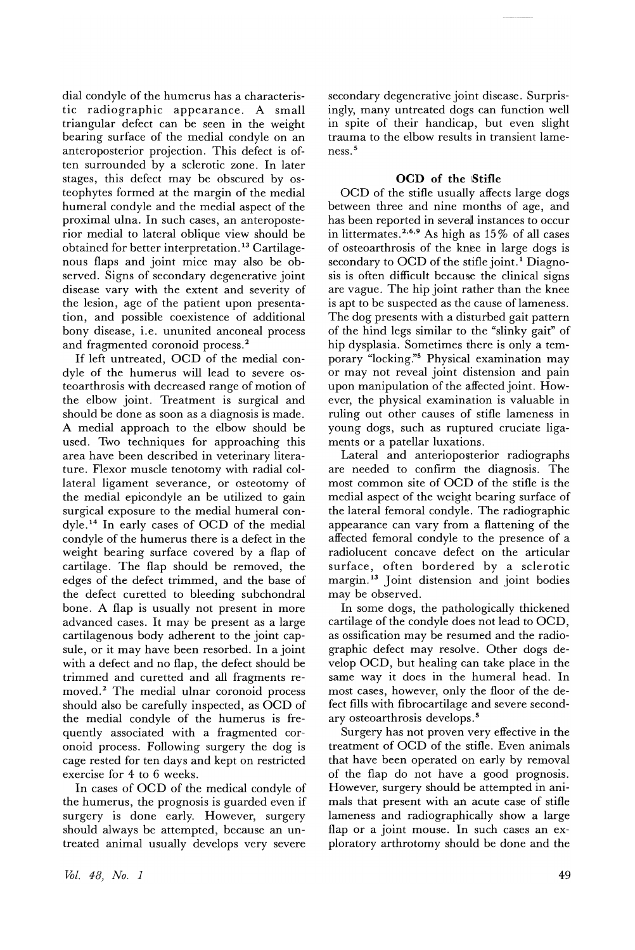dial condyle of the humerus has a characteristic radiographic appearance. A small triangular defect can be seen in the weight bearing surface of the medial condyle on an anteroposterior projection. This defect is often surrounded by a sclerotic zone. In later stages, this defect may be obscured by osteophytes formed at the margin of the medial humeral condyle and the medial aspect of the proximal ulna. In such cases, an anteroposterior medial to lateral oblique view should be obtained for better interpretation. <sup>13</sup> Cartilagenous flaps and joint mice may also be observed. Signs of secondary degenerative joint disease vary with the extent and severity of the lesion, age of the patient upon presentation, and possible coexistence of additional bony disease, i.e. ununited anconeal process and fragmented coronoid process. <sup>2</sup>

If left untreated, OCD of the medial condyle of the humerus will lead to severe osteoarthrosis with decreased range of motion of the elbow joint. Treatment is surgical and should be done as soon as a diagnosis is made. A medial approach to the elbow should be used. Two techniques for approaching this area have been described in veterinary literature. Flexor muscle tenotomy with radial collateral ligament severance, or osteotomy of the medial epicondyle an be utilized to gain surgical exposure to the medial humeral condyle. <sup>14</sup> In early cases of OCD of the medial condyle of the humerus there is a defect in the weight bearing surface covered by a flap of cartilage. The flap should be removed, the edges of the defect trimmed, and the base of the defect curetted to bleeding subchondral bone. A flap is usually not present in more advanced cases. It may be present as a large cartilagenous body adherent to the joint capsule, or it may have been resorbed. In a joint with a defect and no flap, the defect should be trimmed and curetted and all fragments removed.<sup>2</sup> The medial ulnar coronoid process should also be carefully inspected, as OCD of the medial condyle of the humerus is frequently associated with a fragmented coronoid process. Following surgery the dog is cage rested for ten days and kept on restricted exercise for 4 to 6 weeks.

In cases of OCD of the medical condyle of the humerus, the prognosis is guarded even if surgery is done early. However, surgery should always be attempted, because an untreated animal usually develops very severe

secondary degenerative joint disease. Surprisingly, many untreated dogs can function well in spite of their handicap, but even slight trauma to the elbow results in transient lameness. <sup>5</sup>

## **oeD of the** IStifle

OCD of the stifle usually affects large dogs between three and nine months of age, and has been reported in several instances to occur in littermates.<sup>2,6,9</sup> As high as  $15\%$  of all cases of osteoarthrosis of the knee in large dogs is secondary to OCD of the stifle joint.<sup>1</sup> Diagnosis is often difficult because the clinical signs are vague. The hip joint rather than the knee is apt to be suspected as the cause of lameness. The dog presents with a disturbed gait pattern of the hind legs similar to the "slinky gait" of hip dysplasia. Sometimes there is only a temporary "locking:'s Physical examination may or may not reveal joint distension and pain upon manipulation of the affected joint. However, the physical examination is valuable in ruling out other causes of stifle lameness in young dogs, such as ruptured cruciate ligaments or a patellar luxations.

Lateral and anterioposterior radiographs are needed to confirm the diagnosis. The most common site of OCD of the stifle is the medial aspect of the weight bearing surface of the lateral femoral condyle. The radiographic appearance can vary from a flattening of the affected femoral condyle to the presence of a radiolucent concave defect on the articular surface, often bordered by a sclerotic margin. <sup>13</sup> Joint distension and joint bodies may be observed.

In some dogs, the pathologically thickened cartilage of the condyle does not lead to OCD, as ossification may be resumed and the radiographic defect may resolve. Other dogs develop OCD, but healing can take place in the same way it does in the humeral head. In most cases, however, only the floor of the defect fills with fibrocartilage and severe secondary osteoarthrosis develops. <sup>5</sup>

Surgery has not proven very effective in the treatment of OCD of the stifle. Even animals that have been operated on early by removal of the flap do not have a good prognosis. However, surgery should be attempted in animals that present with an acute case of stifle lameness and radiographically show a large flap or a joint mouse. In such cases an exploratory arthrotomy should be done and the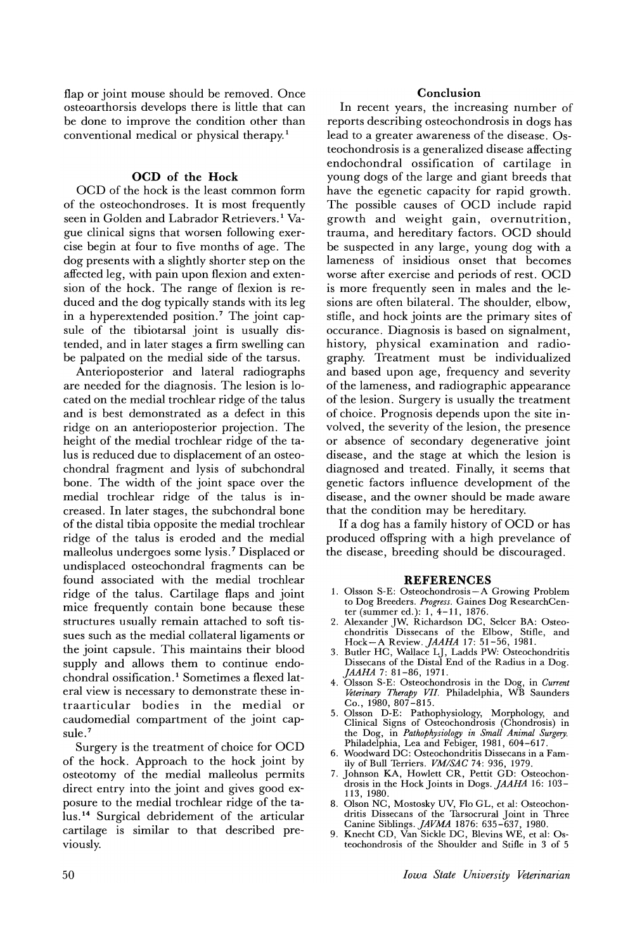flap or joint mouse should be removed. Once osteoarthorsis develops there is little that can be done to improve the condition other than conventional medical or physical therapy.<sup>1</sup>

## **OCD of the Hock**

OCD of the hock is the least common form of the osteochondroses. It is most frequently seen in Golden and Labrador Retrievers.<sup>1</sup> Vague clinical signs that worsen following exercise begin at four to five months of age. The dog presents with a slightly shorter step on the affected leg, with pain upon flexion and extension of the hock. The range of flexion is reduced and the dog typically stands with its leg in a hyperextended position.<sup>7</sup> The joint capsule of the tibiotarsal joint is usually distended, and in later stages a firm swelling can be palpated on the medial side of the tarsus.

Anterioposterior and lateral radiographs are needed for the diagnosis. The lesion is located on the medial trochlear ridge of the talus and is best demonstrated as a defect in this ridge on an anterioposterior projection. The height of the medial trochlear ridge of the ta-Ius is reduced due to displacement of an osteochondral fragment and lysis of subchondral bone. The width of the joint space over the medial trochlear ridge of the talus is increased. In later stages, the subchondral bone of the distal tibia opposite the medial trochlear ridge of the talus is eroded and the medial malleolus undergoes some lysis. <sup>7</sup> Displaced or undisplaced osteochondral fragments can be found associated with the medial trochlear ridge of the talus. Cartilage flaps and joint mice frequently contain bone because these structures usually remain attached to soft tissues such as the medial collateral ligaments or the joint capsule. This maintains their blood supply and allows them to continue endochondral ossification. <sup>1</sup> Sometimes a flexed lateral view is necessary to demonstrate these intraarticular bodies in the medial or caudomedial compartment of the joint capsule.<sup>7</sup>

Surgery is the treatment of choice for OCD of the hock. Approach to the hock joint by osteotomy of the medial malleolus permits direct entry into the joint and gives good exposure to the medial trochlear ridge of the talus. <sup>14</sup> Surgical debridement of the articular cartilage is similar to that described previously.

## **Conclusion**

In recent years, the increasing number of reports describing osteochondrosis in dogs has lead to a greater awareness of the disease. Osteochondrosis is a generalized disease affecting endochondral ossification of cartilage in young dogs of the large and giant breeds that have the egenetic capacity for rapid growth. The possible causes of OCD include rapid growth and weight gain, overnutrition, trauma, and hereditary factors. OCD should be suspected in any large, young dog with a lameness of insidious onset that becomes worse after exercise and periods of rest. OCD is more frequently seen in males and the lesions are often bilateral. The shoulder, elbow, stifle, and hock joints are the primary sites of occurance. Diagnosis is based on signalment, history, physical examination and radiography. Treatment must be individualized and based upon age, frequency and severity of the lameness, and radiographic appearance of the lesion. Surgery is usually the treatment of choice. Prognosis depends upon the site involved, the severity of the lesion, the presence or absence of secondary degenerative joint disease, and the stage at which the lesion is diagnosed and treated. Finally, it seems that genetic factors influence development of the disease, and the owner should be made aware that the condition may be hereditary.

If a dog has a family history of OCD or has produced offspring with a high prevelance of the disease, breeding should be discouraged.

#### **REFERENCES**

- 1. Olsson S-E: Osteochondrosis- A Growing Problem to Dog Breeders. *Progress.* Gaines Dog ResearchCenter (summer ed.): 1, 4-11, 1876.
- 2. Alexander JW, Richardson DC, Selcer BA: Osteochondritis Dissecans of the Elbow, Stifle, and Hock-A Review. *JAAHA* 17: 51-56, 1981.
- 3. Butler HC, Wallace LJ, Ladds PW: Osteochondritis Dissecans of the Distal End of the Radius in a Dog. *JAAHA* 7: 81-86, 1971.
- 4. Olsson S-E: Osteochondrosis in the Dog, in *Current Tteterinary Therapy VII.* Philadelphia, WB Saunders Co., 1980, 807 -815.
- 5. Olsson D-E: Pathophysiology, Morphology, and Clinical Signs of Osteochondrosis (Chondrosis) in the Dog, in *Pathophysiology in Small Animal Surgery.* Philadelphia, Lea and Febiger, 1981, 604-617.
- 6. Woodward DC: Osteochondritis Dissecans in a Family of Bull Terriers. *VMISAC* 74: 936, 1979.
- 7. Johnson KA, Howlett CR, Pettit GD: Osteochondrosis in the Hock Joints in Dogs. *JAAHA* 16: 103- 113, 1980.
- 8. Olson NC, Mostosky UV, Flo GL, et al: Osteochondritis Dissecans of the Tarsocrural Joint in Three
- Canine Siblings. *JAVMA* 1876: 635-637, 1980. 9. Knecht CD, Van Sickle DC, Blevins WE, et al: Osteochondrosis of the Shoulder and Stifle in 3 of 5